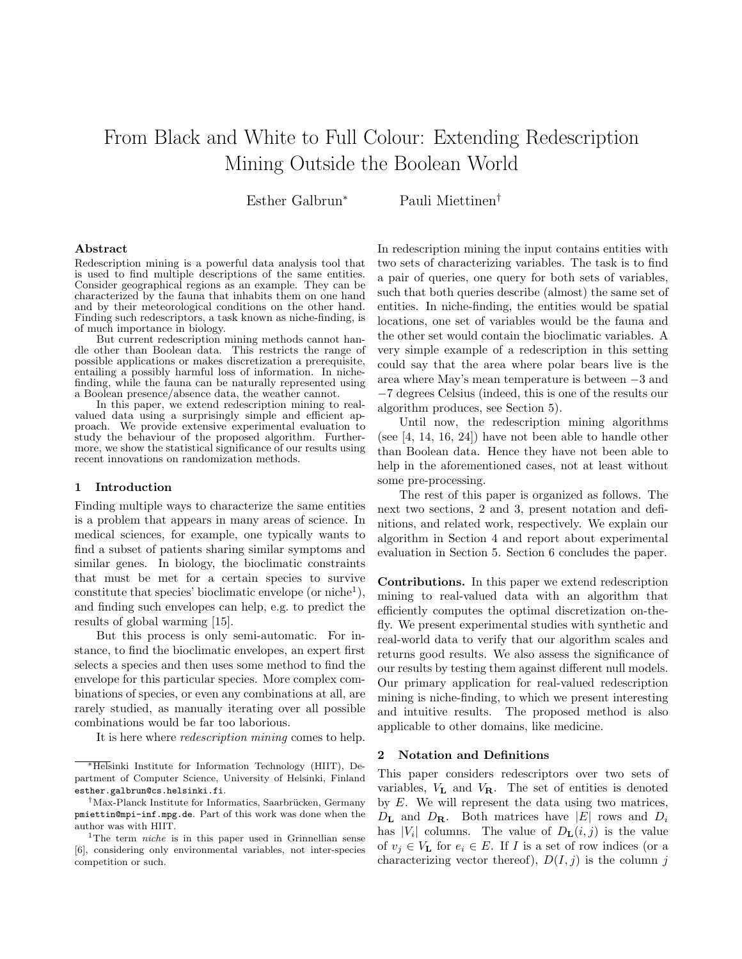# From Black and White to Full Colour: Extending Redescription Mining Outside the Boolean World

Esther Galbrun<sup>∗</sup> Pauli Miettinen†

#### Abstract

Redescription mining is a powerful data analysis tool that is used to find multiple descriptions of the same entities. Consider geographical regions as an example. They can be characterized by the fauna that inhabits them on one hand and by their meteorological conditions on the other hand. Finding such redescriptors, a task known as niche-finding, is of much importance in biology.

But current redescription mining methods cannot han-<br>other than Boolean data. This restricts the range of dle other than Boolean data. possible applications or makes discretization a prerequisite, entailing a possibly harmful loss of information. In nichefinding, while the fauna can be naturally represented using a Boolean presence/absence data, the weather cannot.

In this paper, we extend redescription mining to realvalued data using a surprisingly simple and efficient approach. We provide extensive experimental evaluation to study the behaviour of the proposed algorithm. Furthermore, we show the statistical significance of our results using recent innovations on randomization methods.

#### 1 Introduction

Finding multiple ways to characterize the same entities is a problem that appears in many areas of science. In medical sciences, for example, one typically wants to find a subset of patients sharing similar symptoms and similar genes. In biology, the bioclimatic constraints that must be met for a certain species to survive constitute that species' bioclimatic envelope (or niche<sup>1</sup>), and finding such envelopes can help, e.g. to predict the results of global warming [15].

But this process is only semi-automatic. For instance, to find the bioclimatic envelopes, an expert first selects a species and then uses some method to find the envelope for this particular species. More complex combinations of species, or even any combinations at all, are rarely studied, as manually iterating over all possible combinations would be far too laborious.

It is here where redescription mining comes to help.

In redescription mining the input contains entities with two sets of characterizing variables. The task is to find a pair of queries, one query for both sets of variables, such that both queries describe (almost) the same set of entities. In niche-finding, the entities would be spatial locations, one set of variables would be the fauna and the other set would contain the bioclimatic variables. A very simple example of a redescription in this setting could say that the area where polar bears live is the area where May's mean temperature is between −3 and −7 degrees Celsius (indeed, this is one of the results our algorithm produces, see Section 5).

Until now, the redescription mining algorithms (see [4, 14, 16, 24]) have not been able to handle other than Boolean data. Hence they have not been able to help in the aforementioned cases, not at least without some pre-processing.

The rest of this paper is organized as follows. The next two sections, 2 and 3, present notation and definitions, and related work, respectively. We explain our algorithm in Section 4 and report about experimental evaluation in Section 5. Section 6 concludes the paper.

Contributions. In this paper we extend redescription mining to real-valued data with an algorithm that efficiently computes the optimal discretization on-thefly. We present experimental studies with synthetic and real-world data to verify that our algorithm scales and returns good results. We also assess the significance of our results by testing them against different null models. Our primary application for real-valued redescription mining is niche-finding, to which we present interesting and intuitive results. The proposed method is also applicable to other domains, like medicine.

## 2 Notation and Definitions

This paper considers redescriptors over two sets of variables,  $V_{\mathbf{L}}$  and  $V_{\mathbf{R}}$ . The set of entities is denoted by  $E$ . We will represent the data using two matrices,  $D_{\mathbf{L}}$  and  $D_{\mathbf{R}}$ . Both matrices have |E| rows and  $D_i$ has  $|V_i|$  columns. The value of  $D_{\mathbf{L}}(i,j)$  is the value of  $v_i \in V_L$  for  $e_i \in E$ . If I is a set of row indices (or a characterizing vector thereof),  $D(I, j)$  is the column j

<sup>∗</sup>Helsinki Institute for Information Technology (HIIT), Department of Computer Science, University of Helsinki, Finland esther.galbrun@cs.helsinki.fi.

<sup>&</sup>lt;sup>†</sup>Max-Planck Institute for Informatics, Saarbrücken, Germany pmiettin@mpi-inf.mpg.de. Part of this work was done when the author was with HIIT.

<sup>&</sup>lt;sup>1</sup>The term *niche* is in this paper used in Grinnellian sense [6], considering only environmental variables, not inter-species competition or such.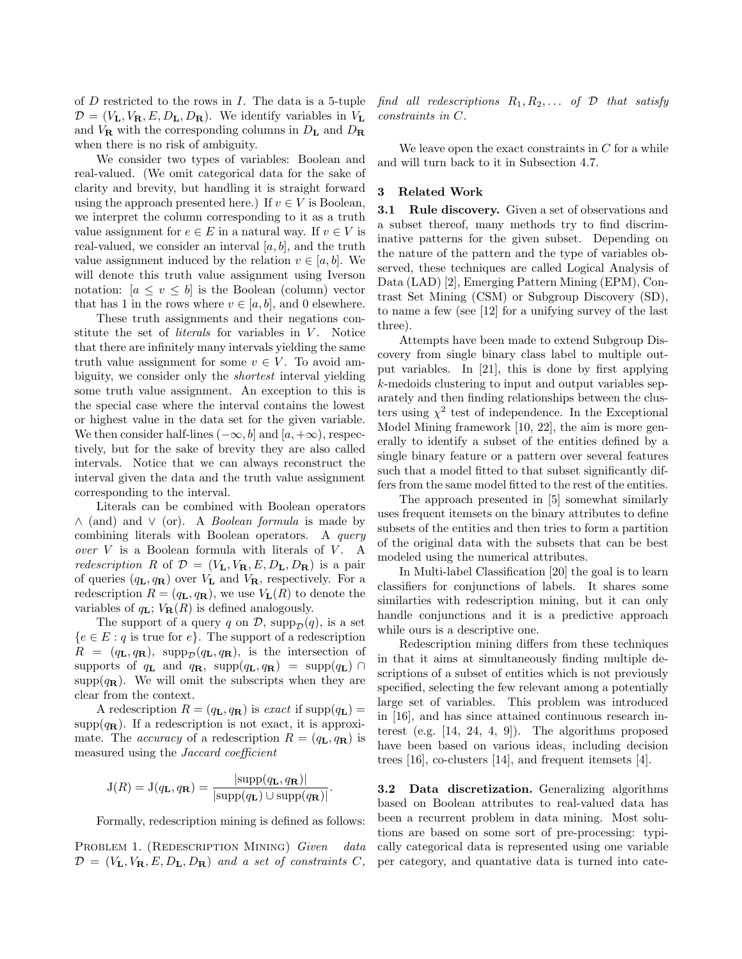of  $D$  restricted to the rows in  $I$ . The data is a 5-tuple  $\mathcal{D} = (V_{\mathbf{L}}, V_{\mathbf{R}}, E, D_{\mathbf{L}}, D_{\mathbf{R}})$ . We identify variables in  $V_{\mathbf{L}}$ and  $V_{\mathbf{R}}$  with the corresponding columns in  $D_{\mathbf{L}}$  and  $D_{\mathbf{R}}$ when there is no risk of ambiguity.

We consider two types of variables: Boolean and real-valued. (We omit categorical data for the sake of clarity and brevity, but handling it is straight forward using the approach presented here.) If  $v \in V$  is Boolean, we interpret the column corresponding to it as a truth value assignment for  $e \in E$  in a natural way. If  $v \in V$  is real-valued, we consider an interval  $[a, b]$ , and the truth value assignment induced by the relation  $v \in [a, b]$ . We will denote this truth value assignment using Iverson notation:  $[a \le v \le b]$  is the Boolean (column) vector that has 1 in the rows where  $v \in [a, b]$ , and 0 elsewhere.

These truth assignments and their negations constitute the set of *literals* for variables in  $V$ . Notice that there are infinitely many intervals yielding the same truth value assignment for some  $v \in V$ . To avoid ambiguity, we consider only the shortest interval yielding some truth value assignment. An exception to this is the special case where the interval contains the lowest or highest value in the data set for the given variable. We then consider half-lines  $(-\infty, b]$  and  $[a, +\infty)$ , respectively, but for the sake of brevity they are also called intervals. Notice that we can always reconstruct the interval given the data and the truth value assignment corresponding to the interval.

Literals can be combined with Boolean operators ∧ (and) and ∨ (or). A Boolean formula is made by combining literals with Boolean operators. A query over  $V$  is a Boolean formula with literals of  $V$ . A redescription R of  $\mathcal{D} = (V_{\mathbf{L}}, V_{\mathbf{R}}, E, D_{\mathbf{L}}, D_{\mathbf{R}})$  is a pair of queries  $(q_L, q_R)$  over  $V_L$  and  $V_R$ , respectively. For a redescription  $R = (q_L, q_R)$ , we use  $V_L(R)$  to denote the variables of  $q_L$ ;  $V_R(R)$  is defined analogously.

The support of a query q on  $\mathcal{D}$ , supp<sub> $\mathcal{D}(q)$ </sub>, is a set  ${e \in E : q \text{ is true for } e}.$  The support of a redescription  $R = (q_L, q_R)$ , supp<sub>p</sub> $(q_L, q_R)$ , is the intersection of supports of  $q_{\mathbf{L}}$  and  $q_{\mathbf{R}}$ , supp $(q_{\mathbf{L}}, q_{\mathbf{R}})$  = supp $(q_{\mathbf{L}}) \cap$  $\text{supp}(q_{\mathbf{R}})$ . We will omit the subscripts when they are clear from the context.

A redescription  $R = (q_L, q_R)$  is exact if supp $(q_L)$  =  $\text{supp}(q_{\mathbf{R}})$ . If a redescription is not exact, it is approximate. The *accuracy* of a redescription  $R = (q_L, q_R)$  is measured using the Jaccard coefficient

$$
J(R) = J(q_{\mathbf{L}}, q_{\mathbf{R}}) = \frac{|\text{supp}(q_{\mathbf{L}}, q_{\mathbf{R}})|}{|\text{supp}(q_{\mathbf{L}}) \cup \text{supp}(q_{\mathbf{R}})|}.
$$

Formally, redescription mining is defined as follows:

PROBLEM 1. (REDESCRIPTION MINING) Given data  $\mathcal{D} = (V_{\mathbf{L}}, V_{\mathbf{R}}, E, D_{\mathbf{L}}, D_{\mathbf{R}})$  and a set of constraints C, find all redescriptions  $R_1, R_2, \ldots$  of  $\mathcal D$  that satisfy constraints in C.

We leave open the exact constraints in  $C$  for a while and will turn back to it in Subsection 4.7.

## 3 Related Work

3.1 Rule discovery. Given a set of observations and a subset thereof, many methods try to find discriminative patterns for the given subset. Depending on the nature of the pattern and the type of variables observed, these techniques are called Logical Analysis of Data (LAD) [2], Emerging Pattern Mining (EPM), Contrast Set Mining (CSM) or Subgroup Discovery (SD), to name a few (see [12] for a unifying survey of the last three).

Attempts have been made to extend Subgroup Discovery from single binary class label to multiple output variables. In [21], this is done by first applying k-medoids clustering to input and output variables separately and then finding relationships between the clusters using  $\chi^2$  test of independence. In the Exceptional Model Mining framework [10, 22], the aim is more generally to identify a subset of the entities defined by a single binary feature or a pattern over several features such that a model fitted to that subset significantly differs from the same model fitted to the rest of the entities.

The approach presented in [5] somewhat similarly uses frequent itemsets on the binary attributes to define subsets of the entities and then tries to form a partition of the original data with the subsets that can be best modeled using the numerical attributes.

In Multi-label Classification [20] the goal is to learn classifiers for conjunctions of labels. It shares some similarties with redescription mining, but it can only handle conjunctions and it is a predictive approach while ours is a descriptive one.

Redescription mining differs from these techniques in that it aims at simultaneously finding multiple descriptions of a subset of entities which is not previously specified, selecting the few relevant among a potentially large set of variables. This problem was introduced in [16], and has since attained continuous research interest (e.g. [14, 24, 4, 9]). The algorithms proposed have been based on various ideas, including decision trees [16], co-clusters [14], and frequent itemsets [4].

3.2 Data discretization. Generalizing algorithms based on Boolean attributes to real-valued data has been a recurrent problem in data mining. Most solutions are based on some sort of pre-processing: typically categorical data is represented using one variable per category, and quantative data is turned into cate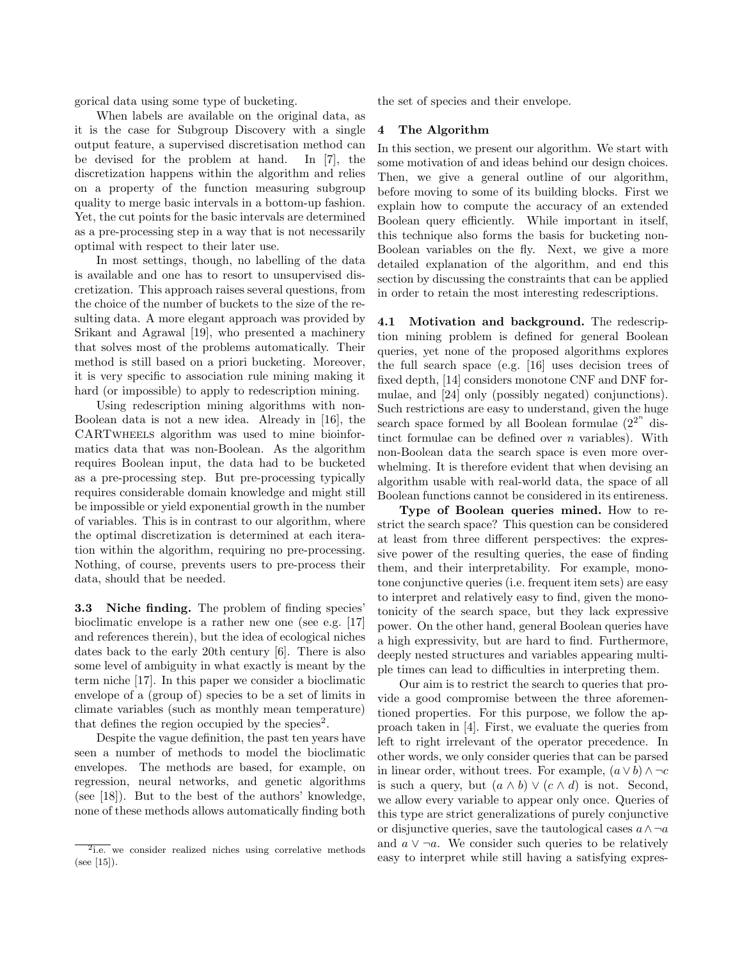gorical data using some type of bucketing.

When labels are available on the original data, as it is the case for Subgroup Discovery with a single output feature, a supervised discretisation method can be devised for the problem at hand. In [7], the discretization happens within the algorithm and relies on a property of the function measuring subgroup quality to merge basic intervals in a bottom-up fashion. Yet, the cut points for the basic intervals are determined as a pre-processing step in a way that is not necessarily optimal with respect to their later use.

In most settings, though, no labelling of the data is available and one has to resort to unsupervised discretization. This approach raises several questions, from the choice of the number of buckets to the size of the resulting data. A more elegant approach was provided by Srikant and Agrawal [19], who presented a machinery that solves most of the problems automatically. Their method is still based on a priori bucketing. Moreover, it is very specific to association rule mining making it hard (or impossible) to apply to redescription mining.

Using redescription mining algorithms with non-Boolean data is not a new idea. Already in [16], the CARTwheels algorithm was used to mine bioinformatics data that was non-Boolean. As the algorithm requires Boolean input, the data had to be bucketed as a pre-processing step. But pre-processing typically requires considerable domain knowledge and might still be impossible or yield exponential growth in the number of variables. This is in contrast to our algorithm, where the optimal discretization is determined at each iteration within the algorithm, requiring no pre-processing. Nothing, of course, prevents users to pre-process their data, should that be needed.

3.3 Niche finding. The problem of finding species' bioclimatic envelope is a rather new one (see e.g. [17] and references therein), but the idea of ecological niches dates back to the early 20th century [6]. There is also some level of ambiguity in what exactly is meant by the term niche [17]. In this paper we consider a bioclimatic envelope of a (group of) species to be a set of limits in climate variables (such as monthly mean temperature) that defines the region occupied by the species<sup>2</sup>.

Despite the vague definition, the past ten years have seen a number of methods to model the bioclimatic envelopes. The methods are based, for example, on regression, neural networks, and genetic algorithms (see [18]). But to the best of the authors' knowledge, none of these methods allows automatically finding both the set of species and their envelope.

## 4 The Algorithm

In this section, we present our algorithm. We start with some motivation of and ideas behind our design choices. Then, we give a general outline of our algorithm, before moving to some of its building blocks. First we explain how to compute the accuracy of an extended Boolean query efficiently. While important in itself, this technique also forms the basis for bucketing non-Boolean variables on the fly. Next, we give a more detailed explanation of the algorithm, and end this section by discussing the constraints that can be applied in order to retain the most interesting redescriptions.

4.1 Motivation and background. The redescription mining problem is defined for general Boolean queries, yet none of the proposed algorithms explores the full search space (e.g. [16] uses decision trees of fixed depth, [14] considers monotone CNF and DNF formulae, and [24] only (possibly negated) conjunctions). Such restrictions are easy to understand, given the huge search space formed by all Boolean formulae  $(2^{2^n})$  distinct formulae can be defined over  $n$  variables). With non-Boolean data the search space is even more overwhelming. It is therefore evident that when devising an algorithm usable with real-world data, the space of all Boolean functions cannot be considered in its entireness.

Type of Boolean queries mined. How to restrict the search space? This question can be considered at least from three different perspectives: the expressive power of the resulting queries, the ease of finding them, and their interpretability. For example, monotone conjunctive queries (i.e. frequent item sets) are easy to interpret and relatively easy to find, given the monotonicity of the search space, but they lack expressive power. On the other hand, general Boolean queries have a high expressivity, but are hard to find. Furthermore, deeply nested structures and variables appearing multiple times can lead to difficulties in interpreting them.

Our aim is to restrict the search to queries that provide a good compromise between the three aforementioned properties. For this purpose, we follow the approach taken in [4]. First, we evaluate the queries from left to right irrelevant of the operator precedence. In other words, we only consider queries that can be parsed in linear order, without trees. For example,  $(a \vee b) \wedge \neg c$ is such a query, but  $(a \wedge b) \vee (c \wedge d)$  is not. Second, we allow every variable to appear only once. Queries of this type are strict generalizations of purely conjunctive or disjunctive queries, save the tautological cases  $a \wedge \neg a$ and  $a \vee \neg a$ . We consider such queries to be relatively easy to interpret while still having a satisfying expres-

<sup>&</sup>lt;sup>2</sup>i.e. we consider realized niches using correlative methods (see [15]).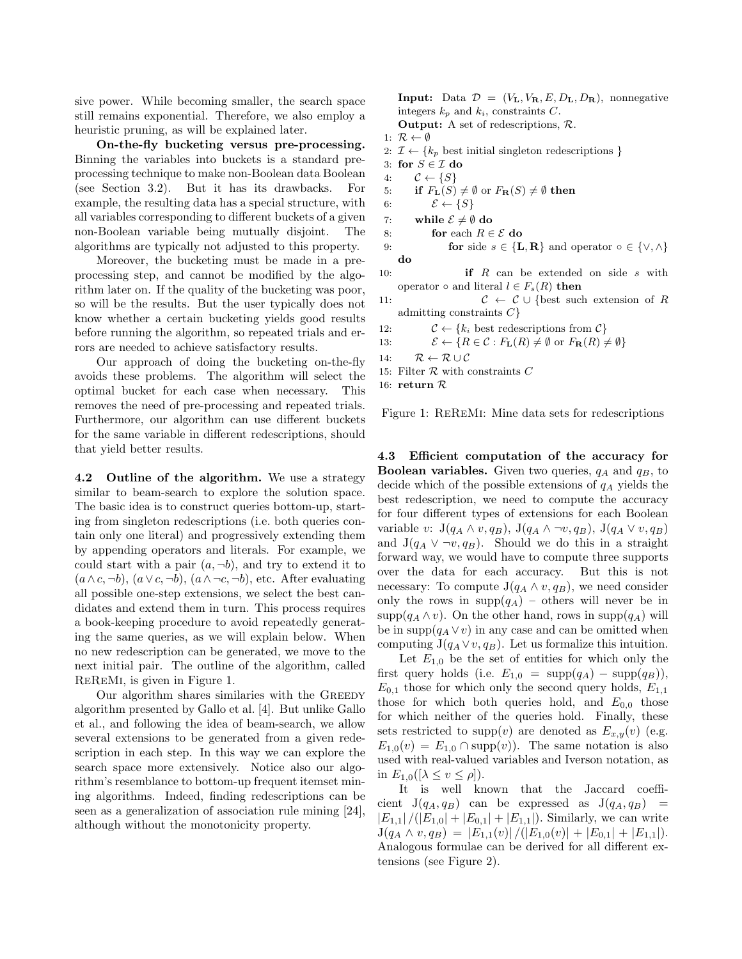sive power. While becoming smaller, the search space still remains exponential. Therefore, we also employ a heuristic pruning, as will be explained later.

On-the-fly bucketing versus pre-processing. Binning the variables into buckets is a standard preprocessing technique to make non-Boolean data Boolean (see Section 3.2). But it has its drawbacks. For example, the resulting data has a special structure, with all variables corresponding to different buckets of a given non-Boolean variable being mutually disjoint. The algorithms are typically not adjusted to this property.

Moreover, the bucketing must be made in a preprocessing step, and cannot be modified by the algorithm later on. If the quality of the bucketing was poor, so will be the results. But the user typically does not know whether a certain bucketing yields good results before running the algorithm, so repeated trials and errors are needed to achieve satisfactory results.

Our approach of doing the bucketing on-the-fly avoids these problems. The algorithm will select the optimal bucket for each case when necessary. This removes the need of pre-processing and repeated trials. Furthermore, our algorithm can use different buckets for the same variable in different redescriptions, should that yield better results.

4.2 Outline of the algorithm. We use a strategy similar to beam-search to explore the solution space. The basic idea is to construct queries bottom-up, starting from singleton redescriptions (i.e. both queries contain only one literal) and progressively extending them by appending operators and literals. For example, we could start with a pair  $(a, \neg b)$ , and try to extend it to  $(a \wedge c, \neg b), (a \vee c, \neg b), (a \wedge \neg c, \neg b),$  etc. After evaluating all possible one-step extensions, we select the best candidates and extend them in turn. This process requires a book-keeping procedure to avoid repeatedly generating the same queries, as we will explain below. When no new redescription can be generated, we move to the next initial pair. The outline of the algorithm, called ReReMi, is given in Figure 1.

Our algorithm shares similaries with the GREEDY algorithm presented by Gallo et al. [4]. But unlike Gallo et al., and following the idea of beam-search, we allow several extensions to be generated from a given redescription in each step. In this way we can explore the search space more extensively. Notice also our algorithm's resemblance to bottom-up frequent itemset mining algorithms. Indeed, finding redescriptions can be seen as a generalization of association rule mining [24], although without the monotonicity property.

**Input:** Data  $\mathcal{D} = (V_L, V_R, E, D_L, D_R)$ , nonnegative integers  $k_p$  and  $k_i$ , constraints C.

- Output: A set of redescriptions, R. 1:  $\mathcal{R} \leftarrow \emptyset$
- 2:  $\mathcal{I} \leftarrow \{k_p \text{ best initial singleton redescriptions }\}$
- 3: for  $S \in \mathcal{I}$  do
- 4:  $C \leftarrow \{S\}$
- 5: if  $F_{\mathbf{L}}(S) \neq \emptyset$  or  $F_{\mathbf{R}}(S) \neq \emptyset$  then
- 6:  $\mathcal{E} \leftarrow \{S\}$
- 7: while  $\mathcal{E} \neq \emptyset$  do
- 8: for each  $R \in \mathcal{E}$  do
- 9: **for** side  $s \in \{L, R\}$  and operator ∘ ∈  $\{V, \wedge\}$ do
- 10: **if** R can be extended on side s with operator  $\circ$  and literal  $l \in F_s(R)$  then
- 11:  $C \leftarrow C \cup \{\text{best such extension of } R\}$ admitting constraints  $C$ }
- 12:  $\mathcal{C} \leftarrow \{k_i \text{ best redescriptions from } \mathcal{C}\}\$
- 13:  $\mathcal{E} \leftarrow \{R \in \mathcal{C} : F_{\mathbf{L}}(R) \neq \emptyset \text{ or } F_{\mathbf{R}}(R) \neq \emptyset\}$
- 14:  $\mathcal{R} \leftarrow \mathcal{R} \cup \mathcal{C}$
- 15: Filter  $R$  with constraints  $C$
- 16: return R

Figure 1: ReReMi: Mine data sets for redescriptions

4.3 Efficient computation of the accuracy for **Boolean variables.** Given two queries,  $q_A$  and  $q_B$ , to decide which of the possible extensions of  $q_A$  yields the best redescription, we need to compute the accuracy for four different types of extensions for each Boolean variable v:  $J(q_A \wedge v, q_B), J(q_A \wedge \neg v, q_B), J(q_A \vee v, q_B)$ and  $J(q_A \vee \neg v, q_B)$ . Should we do this in a straight forward way, we would have to compute three supports over the data for each accuracy. But this is not necessary: To compute  $J(q_A \wedge v, q_B)$ , we need consider only the rows in  $\text{supp}(q_A)$  – others will never be in  $\text{supp}(q_A \wedge v)$ . On the other hand, rows in  $\text{supp}(q_A)$  will be in supp $(q_A \vee v)$  in any case and can be omitted when computing  $J(q_A \vee v, q_B)$ . Let us formalize this intuition.

Let  $E_{1,0}$  be the set of entities for which only the first query holds (i.e.  $E_{1,0} = \text{supp}(q_A) - \text{supp}(q_B)$ ),  $E_{0,1}$  those for which only the second query holds,  $E_{1,1}$ those for which both queries hold, and  $E_{0,0}$  those for which neither of the queries hold. Finally, these sets restricted to supp(v) are denoted as  $E_{x,y}(v)$  (e.g.  $E_{1,0}(v) = E_{1,0} \cap \text{supp}(v)$ . The same notation is also used with real-valued variables and Iverson notation, as in  $E_{1,0}([\lambda \le v \le \rho]).$ 

It is well known that the Jaccard coefficient  $J(q_A, q_B)$  can be expressed as  $J(q_A, q_B)$  =  $|E_{1,1}|/(|E_{1,0}| + |E_{0,1}| + |E_{1,1}|)$ . Similarly, we can write  $J(q_A \wedge v, q_B) = |E_{1,1}(v)| / (|E_{1,0}(v)| + |E_{0,1}| + |E_{1,1}|).$ Analogous formulae can be derived for all different extensions (see Figure 2).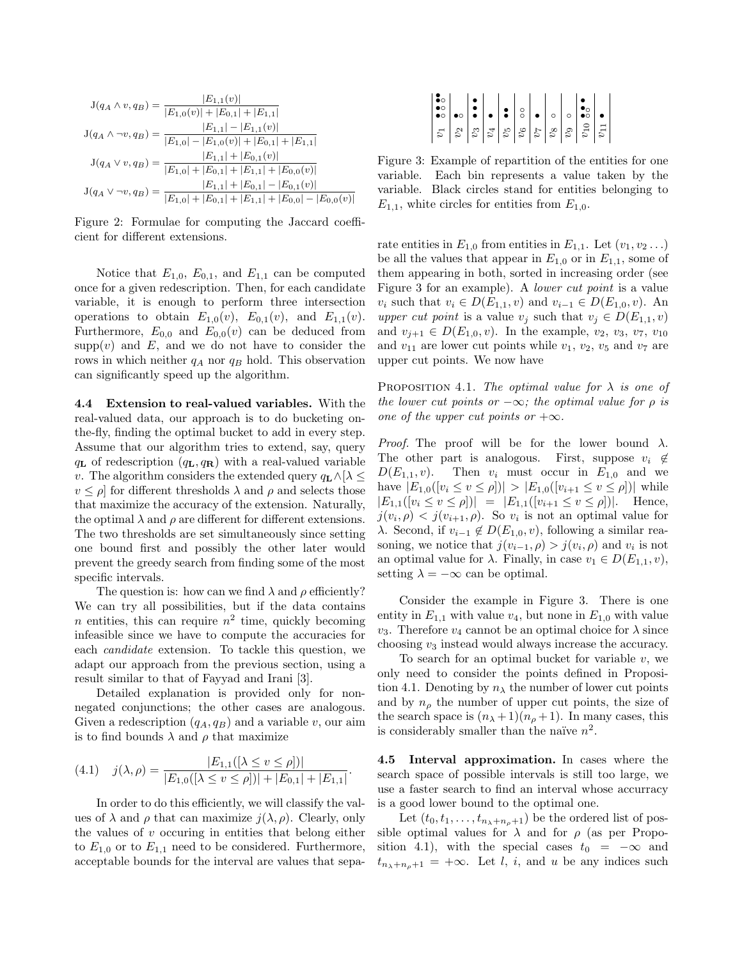$$
J(q_A \wedge v, q_B) = \frac{|E_{1,1}(v)|}{|E_{1,0}(v)| + |E_{0,1}| + |E_{1,1}|}
$$
  
\n
$$
J(q_A \wedge \neg v, q_B) = \frac{|E_{1,1}| - |E_{1,1}(v)|}{|E_{1,0}| - |E_{1,0}(v)| + |E_{0,1}| + |E_{1,1}|}
$$
  
\n
$$
J(q_A \vee v, q_B) = \frac{|E_{1,1}| + |E_{0,1}(v)|}{|E_{1,0}| + |E_{0,1}| + |E_{1,1}| + |E_{0,0}(v)|}
$$
  
\n
$$
J(q_A \vee \neg v, q_B) = \frac{|E_{1,1}| + |E_{0,1}| - |E_{0,1}(v)|}{|E_{1,0}| + |E_{0,1}| + |E_{1,1}| + |E_{0,0}| - |E_{0,0}(v)|}
$$

Figure 2: Formulae for computing the Jaccard coefficient for different extensions.

Notice that  $E_{1,0}$ ,  $E_{0,1}$ , and  $E_{1,1}$  can be computed once for a given redescription. Then, for each candidate variable, it is enough to perform three intersection operations to obtain  $E_{1,0}(v)$ ,  $E_{0,1}(v)$ , and  $E_{1,1}(v)$ . Furthermore,  $E_{0,0}$  and  $E_{0,0}(v)$  can be deduced from  $supp(v)$  and  $E$ , and we do not have to consider the rows in which neither  $q_A$  nor  $q_B$  hold. This observation can significantly speed up the algorithm.

4.4 Extension to real-valued variables. With the real-valued data, our approach is to do bucketing onthe-fly, finding the optimal bucket to add in every step. Assume that our algorithm tries to extend, say, query  $q_{\mathbf{L}}$  of redescription  $(q_{\mathbf{L}}, q_{\mathbf{R}})$  with a real-valued variable v. The algorithm considers the extended query  $q_L \wedge [\lambda \leq$  $v \leq \rho$  for different thresholds  $\lambda$  and  $\rho$  and selects those that maximize the accuracy of the extension. Naturally, the optimal  $\lambda$  and  $\rho$  are different for different extensions. The two thresholds are set simultaneously since setting one bound first and possibly the other later would prevent the greedy search from finding some of the most specific intervals.

The question is: how can we find  $\lambda$  and  $\rho$  efficiently? We can try all possibilities, but if the data contains *n* entities, this can require  $n^2$  time, quickly becoming infeasible since we have to compute the accuracies for each candidate extension. To tackle this question, we adapt our approach from the previous section, using a result similar to that of Fayyad and Irani [3].

Detailed explanation is provided only for nonnegated conjunctions; the other cases are analogous. Given a redescription  $(q_A, q_B)$  and a variable v, our aim is to find bounds  $\lambda$  and  $\rho$  that maximize

$$
(4.1) \quad j(\lambda, \rho) = \frac{|E_{1,1}([\lambda \le v \le \rho])|}{|E_{1,0}([\lambda \le v \le \rho])| + |E_{0,1}| + |E_{1,1}|}.
$$

In order to do this efficiently, we will classify the values of  $\lambda$  and  $\rho$  that can maximize  $j(\lambda, \rho)$ . Clearly, only the values of  $v$  occuring in entities that belong either to  $E_{1,0}$  or to  $E_{1,1}$  need to be considered. Furthermore, acceptable bounds for the interval are values that sepa-

Figure 3: Example of repartition of the entities for one variable. Each bin represents a value taken by the variable. Black circles stand for entities belonging to  $E_{1,1}$ , white circles for entities from  $E_{1,0}$ .

rate entities in  $E_{1,0}$  from entities in  $E_{1,1}$ . Let  $(v_1, v_2 \ldots)$ be all the values that appear in  $E_{1,0}$  or in  $E_{1,1}$ , some of them appearing in both, sorted in increasing order (see Figure 3 for an example). A *lower cut point* is a value  $v_i$  such that  $v_i$  ∈  $D(E_{1,1}, v)$  and  $v_{i-1}$  ∈  $D(E_{1,0}, v)$ . An upper cut point is a value  $v_j$  such that  $v_j \in D(E_{1,1}, v)$ and  $v_{j+1} \in D(E_{1,0}, v)$ . In the example,  $v_2, v_3, v_7, v_{10}$ and  $v_{11}$  are lower cut points while  $v_1$ ,  $v_2$ ,  $v_5$  and  $v_7$  are upper cut points. We now have

PROPOSITION 4.1. The optimal value for  $\lambda$  is one of the lower cut points or  $-\infty$ ; the optimal value for  $\rho$  is one of the upper cut points or  $+\infty$ .

*Proof.* The proof will be for the lower bound  $\lambda$ . The other part is analogous. First, suppose  $v_i \notin$  $D(E_{1,1}, v)$ . Then  $v_i$  must occur in  $E_{1,0}$  and we have  $|E_{1,0}([v_i \le v \le \rho])| > |E_{1,0}([v_{i+1} \le v \le \rho])|$  while  $|E_{1,1}([v_i \le v \le \rho])| = |E_{1,1}([v_{i+1} \le v \le \rho])|$ . Hence,  $j(v_i, \rho) < j(v_{i+1}, \rho)$ . So  $v_i$  is not an optimal value for λ. Second, if  $v_{i-1}$  ∉  $D(E_{1,0}, v)$ , following a similar reasoning, we notice that  $j(v_{i-1}, \rho) > j(v_i, \rho)$  and  $v_i$  is not an optimal value for  $\lambda$ . Finally, in case  $v_1 \in D(E_{1,1}, v)$ , setting  $\lambda = -\infty$  can be optimal.

Consider the example in Figure 3. There is one entity in  $E_{1,1}$  with value  $v_4$ , but none in  $E_{1,0}$  with value  $v_3$ . Therefore  $v_4$  cannot be an optimal choice for  $\lambda$  since choosing  $v_3$  instead would always increase the accuracy.

To search for an optimal bucket for variable  $v$ , we only need to consider the points defined in Proposition 4.1. Denoting by  $n_{\lambda}$  the number of lower cut points and by  $n<sub>o</sub>$  the number of upper cut points, the size of the search space is  $(n_{\lambda}+1)(n_{\rho}+1)$ . In many cases, this is considerably smaller than the naïve  $n^2$ .

4.5 Interval approximation. In cases where the search space of possible intervals is still too large, we use a faster search to find an interval whose accurracy is a good lower bound to the optimal one.

Let  $(t_0, t_1, \ldots, t_{n_{\lambda}+n_{\rho}+1})$  be the ordered list of possible optimal values for  $\lambda$  and for  $\rho$  (as per Proposition 4.1), with the special cases  $t_0 = -\infty$  and  $t_{n_{\lambda}+n_{\rho}+1}$  =  $+\infty$ . Let *l*, *i*, and *u* be any indices such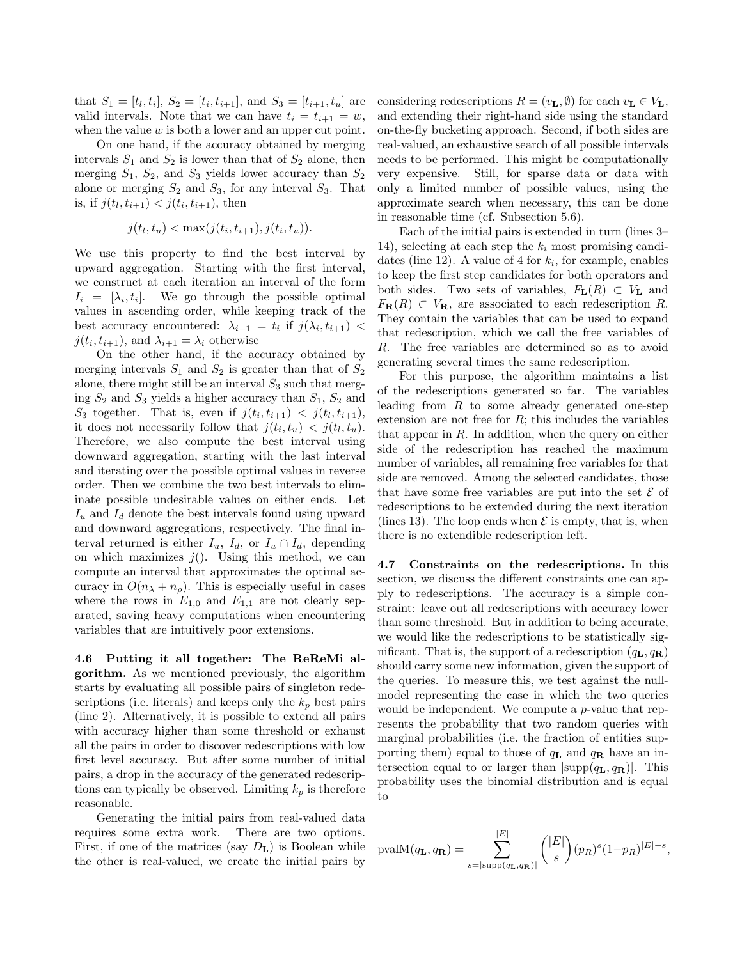that  $S_1 = [t_l, t_i], S_2 = [t_i, t_{i+1}],$  and  $S_3 = [t_{i+1}, t_u]$  are valid intervals. Note that we can have  $t_i = t_{i+1} = w$ , when the value  $w$  is both a lower and an upper cut point.

On one hand, if the accuracy obtained by merging intervals  $S_1$  and  $S_2$  is lower than that of  $S_2$  alone, then merging  $S_1$ ,  $S_2$ , and  $S_3$  yields lower accuracy than  $S_2$ alone or merging  $S_2$  and  $S_3$ , for any interval  $S_3$ . That is, if  $j(t_l, t_{i+1}) < j(t_i, t_{i+1})$ , then

$$
j(t_l, t_u) < \max(j(t_i, t_{i+1}), j(t_i, t_u)).
$$

We use this property to find the best interval by upward aggregation. Starting with the first interval, we construct at each iteration an interval of the form  $I_i = [\lambda_i, t_i]$ . We go through the possible optimal values in ascending order, while keeping track of the best accuracy encountered:  $\lambda_{i+1} = t_i$  if  $j(\lambda_i, t_{i+1})$  <  $j(t_i, t_{i+1}),$  and  $\lambda_{i+1} = \lambda_i$  otherwise

On the other hand, if the accuracy obtained by merging intervals  $S_1$  and  $S_2$  is greater than that of  $S_2$ alone, there might still be an interval  $S_3$  such that merging  $S_2$  and  $S_3$  yields a higher accuracy than  $S_1$ ,  $S_2$  and  $S_3$  together. That is, even if  $j(t_i, t_{i+1}) < j(t_i, t_{i+1}),$ it does not necessarily follow that  $j(t_i, t_u) < j(t_i, t_u)$ . Therefore, we also compute the best interval using downward aggregation, starting with the last interval and iterating over the possible optimal values in reverse order. Then we combine the two best intervals to eliminate possible undesirable values on either ends. Let  $I_u$  and  $I_d$  denote the best intervals found using upward and downward aggregations, respectively. The final interval returned is either  $I_u$ ,  $I_d$ , or  $I_u \cap I_d$ , depending on which maximizes  $j()$ . Using this method, we can compute an interval that approximates the optimal accuracy in  $O(n_{\lambda} + n_{\rho})$ . This is especially useful in cases where the rows in  $E_{1,0}$  and  $E_{1,1}$  are not clearly separated, saving heavy computations when encountering variables that are intuitively poor extensions.

4.6 Putting it all together: The ReReMi algorithm. As we mentioned previously, the algorithm starts by evaluating all possible pairs of singleton redescriptions (i.e. literals) and keeps only the  $k_p$  best pairs (line 2). Alternatively, it is possible to extend all pairs with accuracy higher than some threshold or exhaust all the pairs in order to discover redescriptions with low first level accuracy. But after some number of initial pairs, a drop in the accuracy of the generated redescriptions can typically be observed. Limiting  $k_p$  is therefore reasonable.

Generating the initial pairs from real-valued data requires some extra work. There are two options. First, if one of the matrices (say  $D_{\mathbf{L}}$ ) is Boolean while the other is real-valued, we create the initial pairs by

considering redescriptions  $R = (v_{\mathbf{L}}, \emptyset)$  for each  $v_{\mathbf{L}} \in V_{\mathbf{L}}$ , and extending their right-hand side using the standard on-the-fly bucketing approach. Second, if both sides are real-valued, an exhaustive search of all possible intervals needs to be performed. This might be computationally very expensive. Still, for sparse data or data with only a limited number of possible values, using the approximate search when necessary, this can be done in reasonable time (cf. Subsection 5.6).

Each of the initial pairs is extended in turn (lines 3– 14), selecting at each step the  $k_i$  most promising candidates (line 12). A value of 4 for  $k_i$ , for example, enables to keep the first step candidates for both operators and both sides. Two sets of variables,  $F_{\mathbf{L}}(R) \subset V_{\mathbf{L}}$  and  $F_{\mathbf{R}}(R) \subset V_{\mathbf{R}}$ , are associated to each redescription R. They contain the variables that can be used to expand that redescription, which we call the free variables of R. The free variables are determined so as to avoid generating several times the same redescription.

For this purpose, the algorithm maintains a list of the redescriptions generated so far. The variables leading from  $R$  to some already generated one-step extension are not free for  $R$ ; this includes the variables that appear in  $R$ . In addition, when the query on either side of the redescription has reached the maximum number of variables, all remaining free variables for that side are removed. Among the selected candidates, those that have some free variables are put into the set  $\mathcal E$  of redescriptions to be extended during the next iteration (lines 13). The loop ends when  $\mathcal E$  is empty, that is, when there is no extendible redescription left.

4.7 Constraints on the redescriptions. In this section, we discuss the different constraints one can apply to redescriptions. The accuracy is a simple constraint: leave out all redescriptions with accuracy lower than some threshold. But in addition to being accurate, we would like the redescriptions to be statistically significant. That is, the support of a redescription  $(q_L, q_R)$ should carry some new information, given the support of the queries. To measure this, we test against the nullmodel representing the case in which the two queries would be independent. We compute a *p*-value that represents the probability that two random queries with marginal probabilities (i.e. the fraction of entities supporting them) equal to those of  $q_L$  and  $q_R$  have an intersection equal to or larger than  $|\text{supp}(q_L, q_R)|$ . This probability uses the binomial distribution and is equal to

$$
\text{pvalM}(q_{\mathbf{L}}, q_{\mathbf{R}}) = \sum_{s=|\text{supp}(q_{\mathbf{L}}, q_{\mathbf{R}})|}^{|E|} \binom{|E|}{s} (p_R)^s (1-p_R)^{|E|-s},
$$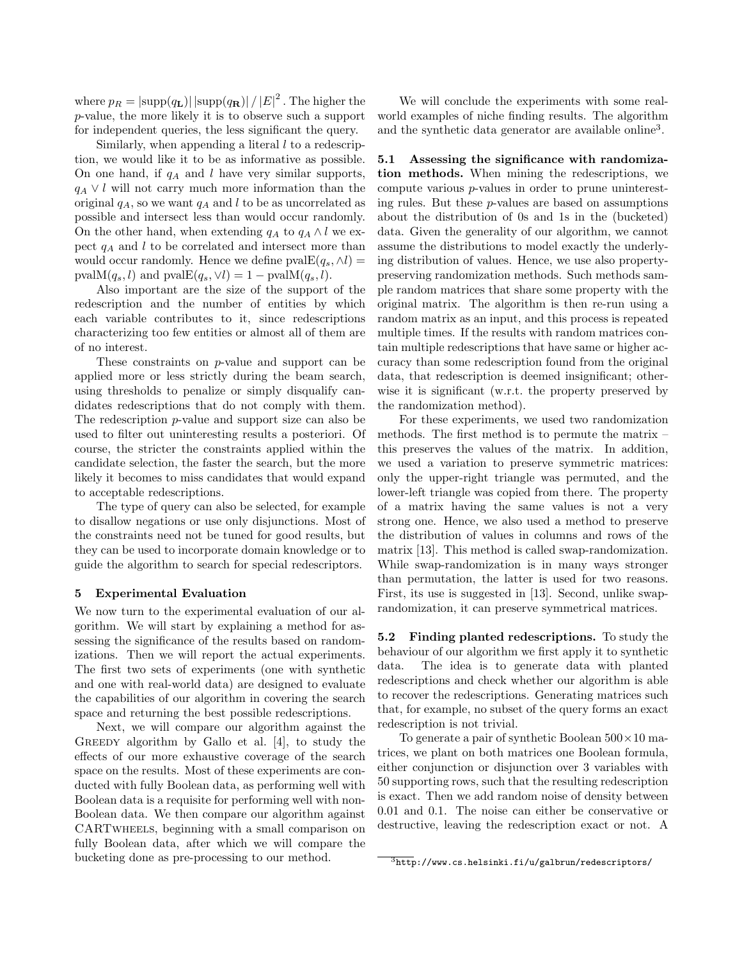where  $p_R = |\text{supp}(q_{\textbf{L}})| \, |\text{supp}(q_{\textbf{R}})| \, / \left| E \right|^2$  . The higher the p-value, the more likely it is to observe such a support for independent queries, the less significant the query.

Similarly, when appending a literal  $l$  to a redescription, we would like it to be as informative as possible. On one hand, if  $q_A$  and l have very similar supports,  $q_A \vee l$  will not carry much more information than the original  $q_A$ , so we want  $q_A$  and l to be as uncorrelated as possible and intersect less than would occur randomly. On the other hand, when extending  $q_A$  to  $q_A \wedge l$  we expect  $q_A$  and  $l$  to be correlated and intersect more than would occur randomly. Hence we define  $pvalE(q_s, \Delta l) =$ pval $M(q_s, l)$  and pval $E(q_s, \vee l) = 1 - \text{pval}M(q_s, l).$ 

Also important are the size of the support of the redescription and the number of entities by which each variable contributes to it, since redescriptions characterizing too few entities or almost all of them are of no interest.

These constraints on p-value and support can be applied more or less strictly during the beam search, using thresholds to penalize or simply disqualify candidates redescriptions that do not comply with them. The redescription p-value and support size can also be used to filter out uninteresting results a posteriori. Of course, the stricter the constraints applied within the candidate selection, the faster the search, but the more likely it becomes to miss candidates that would expand to acceptable redescriptions.

The type of query can also be selected, for example to disallow negations or use only disjunctions. Most of the constraints need not be tuned for good results, but they can be used to incorporate domain knowledge or to guide the algorithm to search for special redescriptors.

## 5 Experimental Evaluation

We now turn to the experimental evaluation of our algorithm. We will start by explaining a method for assessing the significance of the results based on randomizations. Then we will report the actual experiments. The first two sets of experiments (one with synthetic and one with real-world data) are designed to evaluate the capabilities of our algorithm in covering the search space and returning the best possible redescriptions.

Next, we will compare our algorithm against the GREEDY algorithm by Gallo et al.  $[4]$ , to study the effects of our more exhaustive coverage of the search space on the results. Most of these experiments are conducted with fully Boolean data, as performing well with Boolean data is a requisite for performing well with non-Boolean data. We then compare our algorithm against CARTwheels, beginning with a small comparison on fully Boolean data, after which we will compare the bucketing done as pre-processing to our method.

We will conclude the experiments with some realworld examples of niche finding results. The algorithm and the synthetic data generator are available online<sup>3</sup>.

5.1 Assessing the significance with randomization methods. When mining the redescriptions, we compute various p-values in order to prune uninteresting rules. But these p-values are based on assumptions about the distribution of 0s and 1s in the (bucketed) data. Given the generality of our algorithm, we cannot assume the distributions to model exactly the underlying distribution of values. Hence, we use also propertypreserving randomization methods. Such methods sample random matrices that share some property with the original matrix. The algorithm is then re-run using a random matrix as an input, and this process is repeated multiple times. If the results with random matrices contain multiple redescriptions that have same or higher accuracy than some redescription found from the original data, that redescription is deemed insignificant; otherwise it is significant (w.r.t. the property preserved by the randomization method).

For these experiments, we used two randomization methods. The first method is to permute the matrix – this preserves the values of the matrix. In addition, we used a variation to preserve symmetric matrices: only the upper-right triangle was permuted, and the lower-left triangle was copied from there. The property of a matrix having the same values is not a very strong one. Hence, we also used a method to preserve the distribution of values in columns and rows of the matrix [13]. This method is called swap-randomization. While swap-randomization is in many ways stronger than permutation, the latter is used for two reasons. First, its use is suggested in [13]. Second, unlike swaprandomization, it can preserve symmetrical matrices.

5.2 Finding planted redescriptions. To study the behaviour of our algorithm we first apply it to synthetic data. The idea is to generate data with planted redescriptions and check whether our algorithm is able to recover the redescriptions. Generating matrices such that, for example, no subset of the query forms an exact redescription is not trivial.

To generate a pair of synthetic Boolean  $500 \times 10$  matrices, we plant on both matrices one Boolean formula, either conjunction or disjunction over 3 variables with 50 supporting rows, such that the resulting redescription is exact. Then we add random noise of density between 0.01 and 0.1. The noise can either be conservative or destructive, leaving the redescription exact or not. A

 $\frac{3}{3}$ http://www.cs.helsinki.fi/u/galbrun/redescriptors/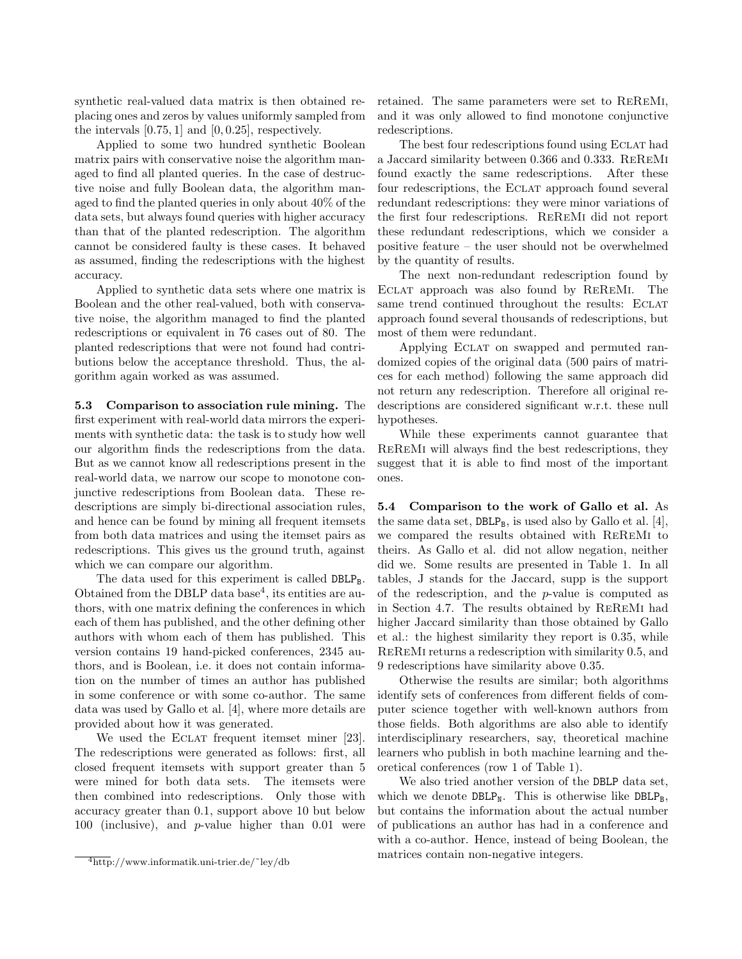synthetic real-valued data matrix is then obtained replacing ones and zeros by values uniformly sampled from the intervals  $[0.75, 1]$  and  $[0, 0.25]$ , respectively.

Applied to some two hundred synthetic Boolean matrix pairs with conservative noise the algorithm managed to find all planted queries. In the case of destructive noise and fully Boolean data, the algorithm managed to find the planted queries in only about 40% of the data sets, but always found queries with higher accuracy than that of the planted redescription. The algorithm cannot be considered faulty is these cases. It behaved as assumed, finding the redescriptions with the highest accuracy.

Applied to synthetic data sets where one matrix is Boolean and the other real-valued, both with conservative noise, the algorithm managed to find the planted redescriptions or equivalent in 76 cases out of 80. The planted redescriptions that were not found had contributions below the acceptance threshold. Thus, the algorithm again worked as was assumed.

5.3 Comparison to association rule mining. The first experiment with real-world data mirrors the experiments with synthetic data: the task is to study how well our algorithm finds the redescriptions from the data. But as we cannot know all redescriptions present in the real-world data, we narrow our scope to monotone conjunctive redescriptions from Boolean data. These redescriptions are simply bi-directional association rules, and hence can be found by mining all frequent itemsets from both data matrices and using the itemset pairs as redescriptions. This gives us the ground truth, against which we can compare our algorithm.

The data used for this experiment is called  $DBLP_B$ . Obtained from the DBLP data base<sup>4</sup>, its entities are authors, with one matrix defining the conferences in which each of them has published, and the other defining other authors with whom each of them has published. This version contains 19 hand-picked conferences, 2345 authors, and is Boolean, i.e. it does not contain information on the number of times an author has published in some conference or with some co-author. The same data was used by Gallo et al. [4], where more details are provided about how it was generated.

We used the ECLAT frequent itemset miner [23]. The redescriptions were generated as follows: first, all closed frequent itemsets with support greater than 5 were mined for both data sets. The itemsets were then combined into redescriptions. Only those with accuracy greater than 0.1, support above 10 but below 100 (inclusive), and p-value higher than 0.01 were retained. The same parameters were set to ReReMi, and it was only allowed to find monotone conjunctive redescriptions.

The best four redescriptions found using Eclat had a Jaccard similarity between 0.366 and 0.333. ReReMi found exactly the same redescriptions. After these four redescriptions, the Eclat approach found several redundant redescriptions: they were minor variations of the first four redescriptions. ReReMi did not report these redundant redescriptions, which we consider a positive feature – the user should not be overwhelmed by the quantity of results.

The next non-redundant redescription found by Eclat approach was also found by ReReMi. The same trend continued throughout the results: ECLAT approach found several thousands of redescriptions, but most of them were redundant.

Applying Eclat on swapped and permuted randomized copies of the original data (500 pairs of matrices for each method) following the same approach did not return any redescription. Therefore all original redescriptions are considered significant w.r.t. these null hypotheses.

While these experiments cannot guarantee that ReReMi will always find the best redescriptions, they suggest that it is able to find most of the important ones.

5.4 Comparison to the work of Gallo et al. As the same data set,  $DBLP_B$ , is used also by Gallo et al. [4], we compared the results obtained with ReReMi to theirs. As Gallo et al. did not allow negation, neither did we. Some results are presented in Table 1. In all tables, J stands for the Jaccard, supp is the support of the redescription, and the p-value is computed as in Section 4.7. The results obtained by ReReMi had higher Jaccard similarity than those obtained by Gallo et al.: the highest similarity they report is 0.35, while ReReMi returns a redescription with similarity 0.5, and 9 redescriptions have similarity above 0.35.

Otherwise the results are similar; both algorithms identify sets of conferences from different fields of computer science together with well-known authors from those fields. Both algorithms are also able to identify interdisciplinary researchers, say, theoretical machine learners who publish in both machine learning and theoretical conferences (row 1 of Table 1).

We also tried another version of the DBLP data set, which we denote  $DBLP_N$ . This is otherwise like  $DBLP_B$ , but contains the information about the actual number of publications an author has had in a conference and with a co-author. Hence, instead of being Boolean, the matrices contain non-negative integers.

 $\frac{4 \text{http://www.informatik.uni-trier.de/~ley/db}}{4 \text{http://www.informatik.uni-trier.de/~ley/db}}$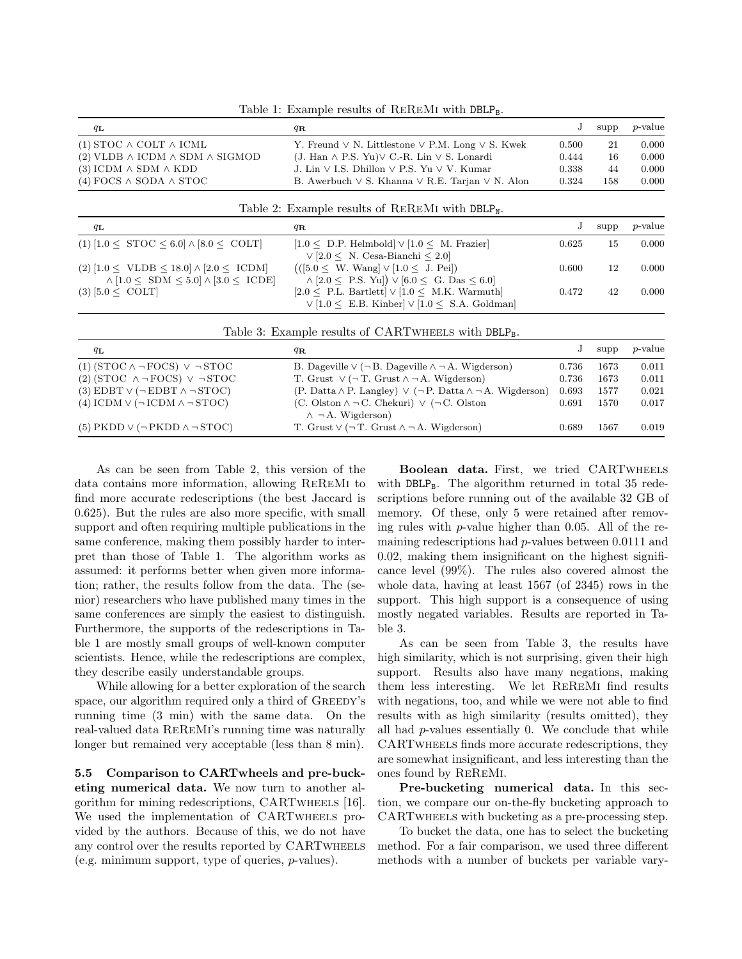| Table 1: Example results of REREMI with DBLP <sub>B</sub> . |  |
|-------------------------------------------------------------|--|
|-------------------------------------------------------------|--|

| $q_{\mathbf{L}}$                                   | $q_{\bf R}$                                                     | $\Gamma$ | supp | <i>p</i> -value |
|----------------------------------------------------|-----------------------------------------------------------------|----------|------|-----------------|
| $(1)$ STOC $\wedge$ COLT $\wedge$ ICML             | Y. Freund $\vee$ N. Littlestone $\vee$ P.M. Long $\vee$ S. Kwek | 0.500    | 21   | 0.000           |
| $(2)$ VLDB $\land$ ICDM $\land$ SDM $\land$ SIGMOD | (J. Han $\land$ P.S. Yu) $\lor$ C.-R. Lin $\lor$ S. Lonardi     | 0.444    | 16   | 0.000           |
| $(3)$ ICDM $\wedge$ SDM $\wedge$ KDD               | J. Lin $\vee$ I.S. Dhillon $\vee$ P.S. Yu $\vee$ V. Kumar       | 0.338    | 44   | 0.000           |
| $(4)$ FOCS $\wedge$ SODA $\wedge$ STOC             | B. Awerbuch $\vee$ S. Khanna $\vee$ R.E. Tarjan $\vee$ N. Alon  | 0.324    | 158  | 0.000           |

|                                                                                                                          | Table 2: Example results of REREMI with DBLP <sub>N</sub> .                                                                            |       |      |            |
|--------------------------------------------------------------------------------------------------------------------------|----------------------------------------------------------------------------------------------------------------------------------------|-------|------|------------|
| $q_{\mathbf{L}}$                                                                                                         | $q_{\bf R}$                                                                                                                            |       | supp | $p$ -value |
| $(1)$ [1.0 < STOC < 6.0] $\land$ [8.0 < COLT]                                                                            | $[1.0 \leq D.P.$ Helmbold $\lor$ $[1.0 \leq M.$ Frazier<br>$\vee$ [2.0 < N. Cesa-Bianchi < 2.0]                                        | 0.625 | 15   | 0.000      |
| $(2) [1.0 \leq \text{VLDB} \leq 18.0] \wedge [2.0 \leq \text{ICDM}]$<br>$\wedge$ [1.0 < SDM < 5.0] $\wedge$ [3.0 < ICDE] | $((5.0 \le W. Wang] \vee [1.0 \le J. Pei])$<br>$\wedge$ [2.0 $\leq$ P.S. Yu]) $\vee$ [6.0 $\leq$ G. Das $\leq$ 6.0]                    | 0.600 | 12   | 0.000      |
| $(3)$ [5.0 $<$ COLT]                                                                                                     | $[2.0 \leq P.L.$ Bartlett $\vert \vee \vert 1.0 \leq M.K.$ Warmuth<br>$\vee$ [1.0 $\leq$ E.B. Kinber] $\vee$ [1.0 $\leq$ S.A. Goldman] | 0.472 | 42   | 0.000      |

| Table 3: Example results of CARTWHEELS with DBLP <sub>B</sub> . |                                                                                                  |       |      |                 |  |  |
|-----------------------------------------------------------------|--------------------------------------------------------------------------------------------------|-------|------|-----------------|--|--|
| $q_{\mathbf{L}}$                                                | $q_{\mathbf{R}}$                                                                                 |       | supp | <i>p</i> -value |  |  |
| $(1)$ (STOC $\land$ - FOCS) $\lor$ - STOC                       | B. Dageville $\vee$ ( $\neg$ B. Dageville $\wedge \neg A$ . Wigderson)                           | 0.736 | 1673 | 0.011           |  |  |
| $(2)$ (STOC $\land \neg$ FOCS) $\lor \neg$ STOC                 | T. Grust $\vee$ ( $\neg$ T. Grust $\wedge \neg A$ . Wigderson)                                   | 0.736 | 1673 | 0.011           |  |  |
| (3) EDBT $\vee$ ( $\neg$ EDBT $\wedge \neg$ STOC)               | (P. Datta $\land$ P. Langley) $\lor$ ( $\neg$ P. Datta $\land$ $\neg$ A. Wigderson)              | 0.693 | 1577 | 0.021           |  |  |
| (4) ICDM $\vee$ ( $\neg$ ICDM $\wedge \neg$ STOC)               | (C. Olston $\wedge \neg C$ . Chekuri) $\vee$ ( $\neg C$ . Olston<br>$\wedge \neg A$ . Wigderson) | 0.691 | 1570 | 0.017           |  |  |
| $(5)$ PKDD $\vee$ ( $\neg$ PKDD $\wedge \neg$ STOC)             | T. Grust $\vee$ ( $\neg$ T. Grust $\wedge \neg A$ . Wigderson)                                   | 0.689 | 1567 | 0.019           |  |  |

As can be seen from Table 2, this version of the data contains more information, allowing ReReMi to find more accurate redescriptions (the best Jaccard is 0.625). But the rules are also more specific, with small support and often requiring multiple publications in the same conference, making them possibly harder to interpret than those of Table 1. The algorithm works as assumed: it performs better when given more information; rather, the results follow from the data. The (senior) researchers who have published many times in the same conferences are simply the easiest to distinguish. Furthermore, the supports of the redescriptions in Table 1 are mostly small groups of well-known computer scientists. Hence, while the redescriptions are complex, they describe easily understandable groups.

While allowing for a better exploration of the search space, our algorithm required only a third of GREEDY's running time (3 min) with the same data. On the real-valued data ReReMi's running time was naturally longer but remained very acceptable (less than 8 min).

5.5 Comparison to CARTwheels and pre-bucketing numerical data. We now turn to another algorithm for mining redescriptions, CARTwheels [16]. We used the implementation of CARTwheels provided by the authors. Because of this, we do not have any control over the results reported by CARTwheels (e.g. minimum support, type of queries, p-values).

Boolean data. First, we tried CARTwheels with  $DBLP_B$ . The algorithm returned in total 35 redescriptions before running out of the available 32 GB of memory. Of these, only 5 were retained after removing rules with p-value higher than 0.05. All of the remaining redescriptions had  $p$ -values between 0.0111 and 0.02, making them insignificant on the highest significance level (99%). The rules also covered almost the whole data, having at least 1567 (of 2345) rows in the support. This high support is a consequence of using mostly negated variables. Results are reported in Table 3.

As can be seen from Table 3, the results have high similarity, which is not surprising, given their high support. Results also have many negations, making them less interesting. We let ReReMi find results with negations, too, and while we were not able to find results with as high similarity (results omitted), they all had  $p$ -values essentially 0. We conclude that while CARTwheels finds more accurate redescriptions, they are somewhat insignificant, and less interesting than the ones found by ReReMi.

Pre-bucketing numerical data. In this section, we compare our on-the-fly bucketing approach to CARTwheels with bucketing as a pre-processing step.

To bucket the data, one has to select the bucketing method. For a fair comparison, we used three different methods with a number of buckets per variable vary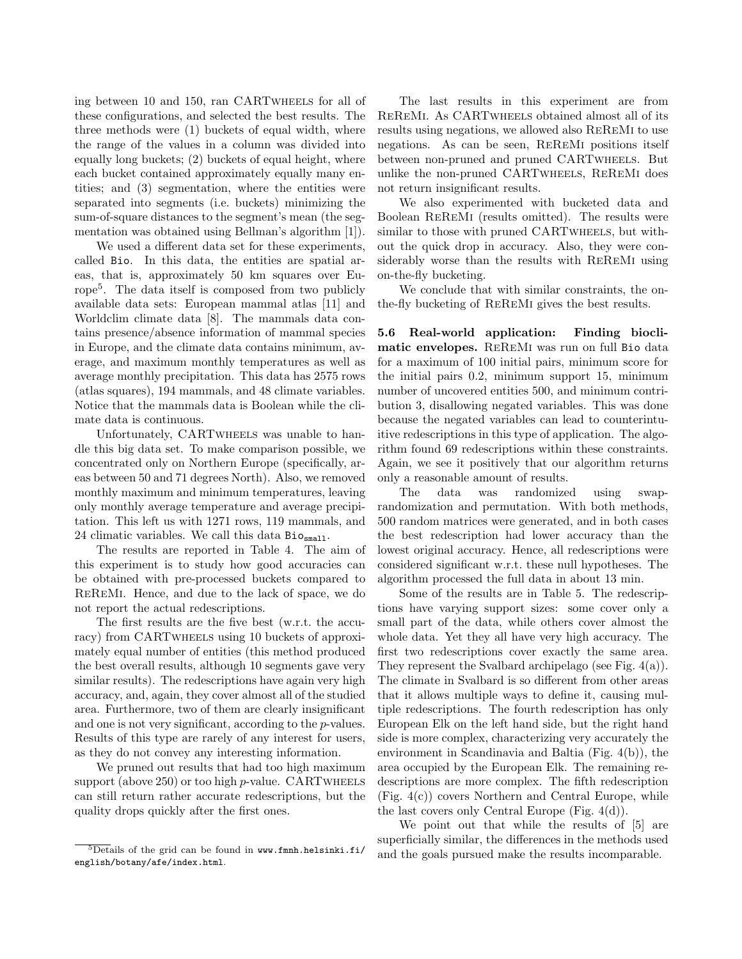ing between 10 and 150, ran CARTwheels for all of these configurations, and selected the best results. The three methods were (1) buckets of equal width, where the range of the values in a column was divided into equally long buckets; (2) buckets of equal height, where each bucket contained approximately equally many entities; and (3) segmentation, where the entities were separated into segments (i.e. buckets) minimizing the sum-of-square distances to the segment's mean (the segmentation was obtained using Bellman's algorithm [1]).

We used a different data set for these experiments, called Bio. In this data, the entities are spatial areas, that is, approximately 50 km squares over Europe<sup>5</sup> . The data itself is composed from two publicly available data sets: European mammal atlas [11] and Worldclim climate data [8]. The mammals data contains presence/absence information of mammal species in Europe, and the climate data contains minimum, average, and maximum monthly temperatures as well as average monthly precipitation. This data has 2575 rows (atlas squares), 194 mammals, and 48 climate variables. Notice that the mammals data is Boolean while the climate data is continuous.

Unfortunately, CARTwheels was unable to handle this big data set. To make comparison possible, we concentrated only on Northern Europe (specifically, areas between 50 and 71 degrees North). Also, we removed monthly maximum and minimum temperatures, leaving only monthly average temperature and average precipitation. This left us with 1271 rows, 119 mammals, and 24 climatic variables. We call this data Biosmall.

The results are reported in Table 4. The aim of this experiment is to study how good accuracies can be obtained with pre-processed buckets compared to ReReMi. Hence, and due to the lack of space, we do not report the actual redescriptions.

The first results are the five best (w.r.t. the accuracy) from CARTWHEELS using 10 buckets of approximately equal number of entities (this method produced the best overall results, although 10 segments gave very similar results). The redescriptions have again very high accuracy, and, again, they cover almost all of the studied area. Furthermore, two of them are clearly insignificant and one is not very significant, according to the p-values. Results of this type are rarely of any interest for users, as they do not convey any interesting information.

We pruned out results that had too high maximum support (above  $250$ ) or too high *p*-value. CARTWHEELS can still return rather accurate redescriptions, but the quality drops quickly after the first ones.

The last results in this experiment are from ReReMi. As CARTwheels obtained almost all of its results using negations, we allowed also ReReMi to use negations. As can be seen, ReReMi positions itself between non-pruned and pruned CARTwheels. But unlike the non-pruned CARTwheels, ReReMi does not return insignificant results.

We also experimented with bucketed data and Boolean ReReMi (results omitted). The results were similar to those with pruned CARTWHEELS, but without the quick drop in accuracy. Also, they were considerably worse than the results with ReReMi using on-the-fly bucketing.

We conclude that with similar constraints, the onthe-fly bucketing of ReReMi gives the best results.

5.6 Real-world application: Finding bioclimatic envelopes. ReReMi was run on full Bio data for a maximum of 100 initial pairs, minimum score for the initial pairs 0.2, minimum support 15, minimum number of uncovered entities 500, and minimum contribution 3, disallowing negated variables. This was done because the negated variables can lead to counterintuitive redescriptions in this type of application. The algorithm found 69 redescriptions within these constraints. Again, we see it positively that our algorithm returns only a reasonable amount of results.

The data was randomized using swaprandomization and permutation. With both methods, 500 random matrices were generated, and in both cases the best redescription had lower accuracy than the lowest original accuracy. Hence, all redescriptions were considered significant w.r.t. these null hypotheses. The algorithm processed the full data in about 13 min.

Some of the results are in Table 5. The redescriptions have varying support sizes: some cover only a small part of the data, while others cover almost the whole data. Yet they all have very high accuracy. The first two redescriptions cover exactly the same area. They represent the Svalbard archipelago (see Fig. 4(a)). The climate in Svalbard is so different from other areas that it allows multiple ways to define it, causing multiple redescriptions. The fourth redescription has only European Elk on the left hand side, but the right hand side is more complex, characterizing very accurately the environment in Scandinavia and Baltia (Fig. 4(b)), the area occupied by the European Elk. The remaining redescriptions are more complex. The fifth redescription (Fig. 4(c)) covers Northern and Central Europe, while the last covers only Central Europe (Fig. 4(d)).

We point out that while the results of [5] are superficially similar, the differences in the methods used and the goals pursued make the results incomparable.

 $5$ Details of the grid can be found in www.fmnh.helsinki.fi/ english/botany/afe/index.html.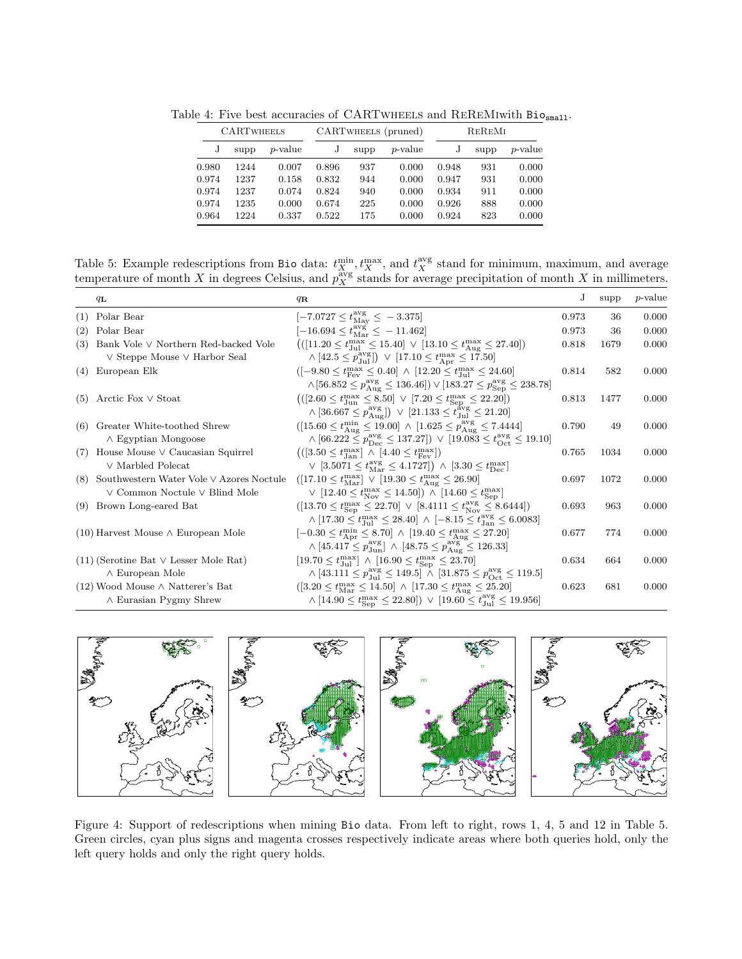| <b>CARTWHEELS</b> |      | CARTWHEELS (pruned) |       |      |                 | REREMI |      |                 |
|-------------------|------|---------------------|-------|------|-----------------|--------|------|-----------------|
|                   | supp | <i>p</i> -value     |       | supp | <i>p</i> -value |        | supp | <i>p</i> -value |
| 0.980             | 1244 | 0.007               | 0.896 | 937  | 0.000           | 0.948  | 931  | 0.000           |
| 0.974             | 1237 | 0.158               | 0.832 | 944  | 0.000           | 0.947  | 931  | 0.000           |
| 0.974             | 1237 | 0.074               | 0.824 | 940  | 0.000           | 0.934  | 911  | 0.000           |
| 0.974             | 1235 | 0.000               | 0.674 | 225  | 0.000           | 0.926  | 888  | 0.000           |
| 0.964             | 1224 | 0.337               | 0.522 | 175  | 0.000           | 0.924  | 823  | 0.000           |

Table 4: Five best accuracies of CARTWHEELS and REREMIwith Biosmall.

Table 5: Example redescriptions from Bio data:  $t_X^{\min}$ ,  $t_X^{\max}$ , and  $t_X^{\text{avg}}$  stand for minimum, maximum, and average temperature of month X in degrees Celsius, and  $p_X^{\text{avg}}$  stands for average precipitation of month X in millimeters.

|     | $q_{\mathbf{L}}$                             | $q_{\mathbf{R}}$                                                                                                                   | J     | supp | <i>p</i> -value |
|-----|----------------------------------------------|------------------------------------------------------------------------------------------------------------------------------------|-------|------|-----------------|
| (1) | Polar Bear                                   | $[-7.0727 \le t_{\text{Mav}}^{\text{avg}} \le -3.375]$                                                                             | 0.973 | 36   | 0.000           |
| (2) | Polar Bear                                   | $[-16.694 \le t_{\rm Mar}^{\rm avg}] \le -11.462$                                                                                  | 0.973 | 36   | 0.000           |
| (3) | Bank Vole V Northern Red-backed Vole         | $(([11.20 \le t_{\text{Jul}}^{\text{max}} \le 15.40] \vee [13.10 \le t_{\text{Aug}}^{\text{max}} \le 27.40])$                      | 0.818 | 1679 | 0.000           |
|     | $\vee$ Steppe Mouse $\vee$ Harbor Seal       | $\wedge$ [42.5 $\leq p_{\text{full}}^{\text{avg}}$ ]) $\vee$ [17.10 $\leq t_{\text{Arr}}^{\text{max}} \leq 17.50$ ]                |       |      |                 |
| (4) | European Elk                                 | $([-9.80 \le t_{\text{Fev}}^{\text{max}} \le 0.40] \wedge [12.20 \le t_{\text{Jul}}^{\text{max}} \le 24.60]$                       | 0.814 | 582  | 0.000           |
|     |                                              | $\wedge$ [56.852 $\leq p_{\text{Aug}}^{\text{avg}} \leq 136.46$ ]) $\vee$ [183.27 $\leq p_{\text{Sen}}^{\text{avg}} \leq 238.78$ ] |       |      |                 |
| (5) | Arctic Fox $\vee$ Stoat                      | $(([2.60 \le t_{\text{Jun}}^{\text{max}} \le 8.50] \vee [7.20 \le t_{\text{Sen}}^{\text{max}} \le 22.20])$                         | 0.813 | 1477 | 0.000           |
|     |                                              | $\wedge$ [36.667 $\leq p_{A_{11}\sigma}^{avg}$ ]) $\vee$ [21.133 $\leq t_{J_{11}}^{avg} \leq 21.20$ ]                              |       |      |                 |
| (6) | Greater White-toothed Shrew                  | $([15.60 \le t_{\text{Aug}}^{\text{min}} \le 19.00] \land [1.625 \le p_{\text{Aug}}^{\text{avg}} \le 7.4444]$                      | 0.790 | 49   | 0.000           |
|     | $\land$ Egyptian Mongoose                    | $\wedge$ [66.222 $\leq p_{\text{Dec}}^{\text{avg}} \leq 137.27$ ]) $\vee$ [19.083 $\leq t_{\text{Oct}}^{\text{avg}} \leq 19.10$ ]  |       |      |                 |
| (7) | House Mouse $\vee$ Caucasian Squirrel        | $((3.50 \le t_{\text{Jan}}^{\text{max}}) \land [4.40 \le t_{\text{Fev}}^{\text{max}}])$                                            | 0.765 | 1034 | 0.000           |
|     | $\vee$ Marbled Polecat                       | $\vee$ [3.5071 $\leq t_{\text{Mar}}^{\text{avg}} \leq 4.1727$ ]) $\wedge$ [3.30 $\leq t_{\text{Dec}}^{\text{max}}$ ]               |       |      |                 |
| (8) | Southwestern Water Vole V Azores Noctule     | $([17.10 \le t_{\text{Mar}}^{\text{max}}] \vee [19.30 \le t_{\text{Aug}}^{\text{max}} \le 26.90]$                                  | 0.697 | 1072 | 0.000           |
|     | $\vee$ Common Noctule $\vee$ Blind Mole      | $\vee$ [12.40 $\le t_{\text{Nov}}^{\text{max}} \le 14.50$ ]) $\wedge$ [14.60 $\le t_{\text{Sen}}^{\text{max}}$ ]                   |       |      |                 |
| (9) | Brown Long-eared Bat                         | $([13.70 \le t_{\text{Sen}}^{\text{max}} \le 22.70] \vee [8.4111 \le t_{\text{Nov}}^{\text{avg}} \le 8.6444])$                     | 0.693 | 963  | 0.000           |
|     |                                              | $\land$ [17.30 $\leq t_{\text{In1}}^{\text{max}} \leq 28.40$ ] $\land$ [-8.15 $\leq t_{\text{In2}}^{\text{avg}} \leq 6.0083$ ]     |       |      |                 |
|     | $(10)$ Harvest Mouse $\wedge$ European Mole  | $[-0.30 \le t_{\rm Apr}^{\rm min} \le 8.70] \wedge [19.40 \le t_{\rm Aug}^{\rm max} \le 27.20]$                                    | 0.677 | 774  | 0.000           |
|     |                                              | $\wedge$ [45.417 $\leq p_{\text{Jun}}^{\text{avg}}$ ] $\wedge$ [48.75 $\leq p_{\text{Aug}}^{\text{avg}} \leq 126.33$ ]             |       |      |                 |
|     | $(11)$ (Serotine Bat $\vee$ Lesser Mole Rat) | $[19.70 \le t_{\text{Jul}}^{\text{max}}] \wedge [16.90 \le t_{\text{Sep}}^{\text{max}} \le 23.70]$                                 | 0.634 | 664  | 0.000           |
|     | $\wedge$ European Mole                       | $\land$ [43.111 $\leq p_{\text{1nl}}^{\text{avg}} \leq 149.5$ ] $\land$ [31.875 $\leq p_{\text{Oct}}^{\text{avg}} \leq 119.5$ ]    |       |      |                 |
|     | $(12)$ Wood Mouse $\wedge$ Natterer's Bat    | $([3.20 \le t_{\text{Mar}}^{\text{max}} \le 14.50] \wedge [17.30 \le t_{\text{Aug}}^{\text{max}} \le 25.20]$                       | 0.623 | 681  | 0.000           |
|     | $\land$ Eurasian Pygmy Shrew                 | $\land$ [14.90 $\leq t_{\text{Sen}}^{\text{max}} \leq 22.80$ ]) $\lor$ [19.60 $\leq t_{\text{Jul}}^{\text{avg}} \leq 19.956$ ]     |       |      |                 |



Figure 4: Support of redescriptions when mining Bio data. From left to right, rows 1, 4, 5 and 12 in Table 5. Green circles, cyan plus signs and magenta crosses respectively indicate areas where both queries hold, only the left query holds and only the right query holds.